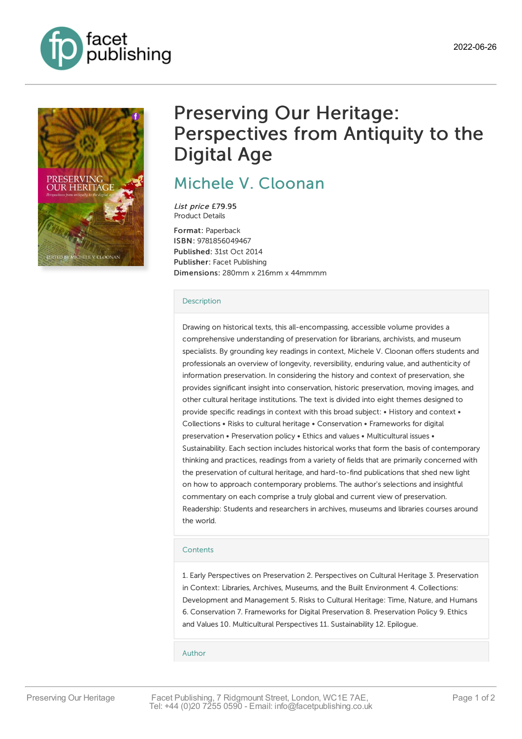



# Preserving Our Heritage: Perspectives from Antiquity to the Digital Age

## Michele V. [Cloonan](https://www.facetpublishing.co.uk/page/author-detail/?SF1=contributor&ST1=Michele%20V.%20Cloonan)

List price £79.95 Product Details

Format: Paperback ISBN: 9781856049467 Published: 31st Oct 2014 Publisher: Facet Publishing Dimensions: 280mm x 216mm x 44mmmm

### **[Description](javascript:void(0);)**

Drawing on historical texts, this all-encompassing, accessible volume provides a comprehensive understanding of preservation for librarians, archivists, and museum specialists. By grounding key readings in context, Michele V. Cloonan offers students and professionals an overview of longevity, reversibility, enduring value, and authenticity of information preservation. In considering the history and context of preservation, she provides significant insight into conservation, historic preservation, moving images, and other cultural heritage institutions. The text is divided into eight themes designed to provide specific readings in context with this broad subject: • History and context • Collections • Risks to cultural heritage • Conservation • Frameworks for digital preservation • Preservation policy • Ethics and values • Multicultural issues • Sustainability. Each section includes historical works that form the basis of contemporary thinking and practices, readings from a variety of fields that are primarily concerned with the preservation of cultural heritage, and hard-to-find publications that shed new light on how to approach contemporary problems. The author's selections and insightful commentary on each comprise a truly global and current view of preservation. Readership: Students and researchers in archives, museums and libraries courses around the world.

### **[Contents](javascript:void(0);)**

1. Early Perspectives on Preservation 2. Perspectives on Cultural Heritage 3. Preservation in Context: Libraries, Archives, Museums, and the Built Environment 4. Collections: Development and Management 5. Risks to Cultural Heritage: Time, Nature, and Humans 6. Conservation 7. Frameworks for Digital Preservation 8. Preservation Policy 9. Ethics and Values 10. Multicultural Perspectives 11. Sustainability 12. Epilogue.

#### [Author](javascript:void(0);)